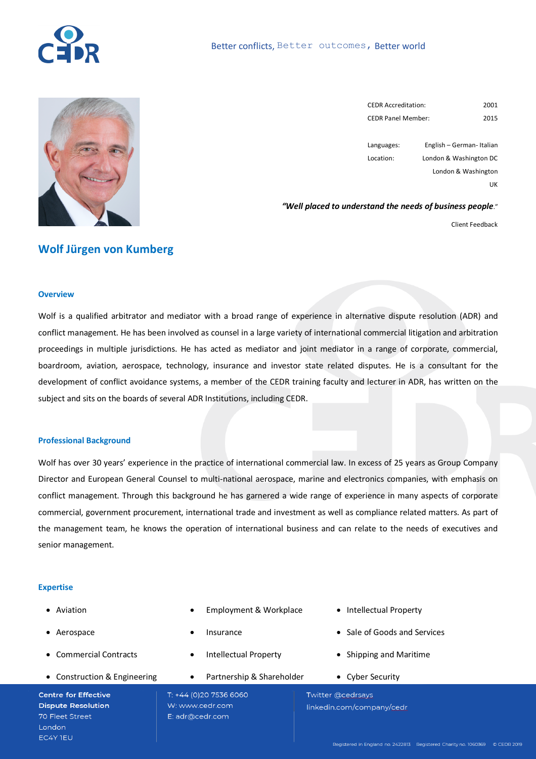



| <b>CEDR Accreditation:</b> | 2001 |
|----------------------------|------|
| <b>CEDR Panel Member:</b>  | 2015 |

Languages: Location: English – German- Italian London & Washington DC London & Washington UK

*"Well placed to understand the needs of business people*."

Client Feedback

## **Wolf Jürgen von Kumberg**

#### **Overview**

Wolf is a qualified arbitrator and mediator with a broad range of experience in alternative dispute resolution (ADR) and conflict management. He has been involved as counsel in a large variety of international commercial litigation and arbitration proceedings in multiple jurisdictions. He has acted as mediator and joint mediator in a range of corporate, commercial, boardroom, aviation, aerospace, technology, insurance and investor state related disputes. He is a consultant for the development of conflict avoidance systems, a member of the CEDR training faculty and lecturer in ADR, has written on the subject and sits on the boards of several ADR Institutions, including CEDR.

#### **Professional Background**

Wolf has over 30 years' experience in the practice of international commercial law. In excess of 25 years as Group Company Director and European General Counsel to multi-national aerospace, marine and electronics companies, with emphasis on conflict management. Through this background he has garnered a wide range of experience in many aspects of corporate commercial, government procurement, international trade and investment as well as compliance related matters. As part of the management team, he knows the operation of international business and can relate to the needs of executives and senior management.

## **Expertise**

- Aviation
- Aerospace
- Commercial Contracts
- Construction & Engineering

**Centre for Effective Dispute Resolution** 70 Fleet Street **London** EC4Y TEU

- Employment & Workplace
- **Insurance**
- Intellectual Property
- Partnership & Shareholder

T: +44 (0)20 7536 6060 W: www.cedr.com E: adr@cedr.com

- Intellectual Property
- Sale of Goods and Services
- Shipping and Maritime
- Cyber Security

Twitter @cedrsays linkedin.com/company/cedr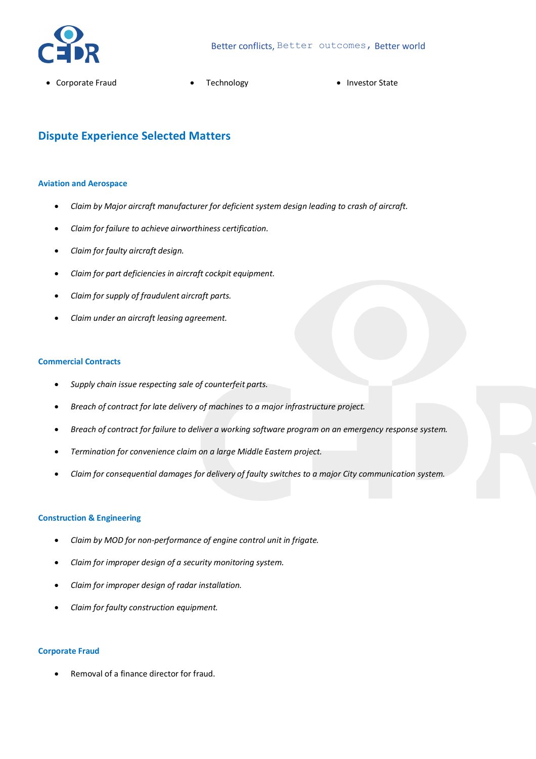

- Corporate Fraud Technology Investor State
	-

# **Dispute Experience Selected Matters**

#### **Aviation and Aerospace**

- *Claim by Major aircraft manufacturer for deficient system design leading to crash of aircraft.*
- *Claim for failure to achieve airworthiness certification.*
- *Claim for faulty aircraft design.*
- *Claim for part deficiencies in aircraft cockpit equipment.*
- *Claim for supply of fraudulent aircraft parts.*
- *Claim under an aircraft leasing agreement.*

#### **Commercial Contracts**

- *Supply chain issue respecting sale of counterfeit parts.*
- *Breach of contract for late delivery of machines to a major infrastructure project.*
- *Breach of contract for failure to deliver a working software program on an emergency response system.*
- *Termination for convenience claim on a large Middle Eastern project.*
- *Claim for consequential damages for delivery of faulty switches to a major City communication system.*

## **Construction & Engineering**

- *Claim by MOD for non-performance of engine control unit in frigate.*
- *Claim for improper design of a security monitoring system.*
- *Claim for improper design of radar installation.*
- *Claim for faulty construction equipment.*

### **Corporate Fraud**

• Removal of a finance director for fraud.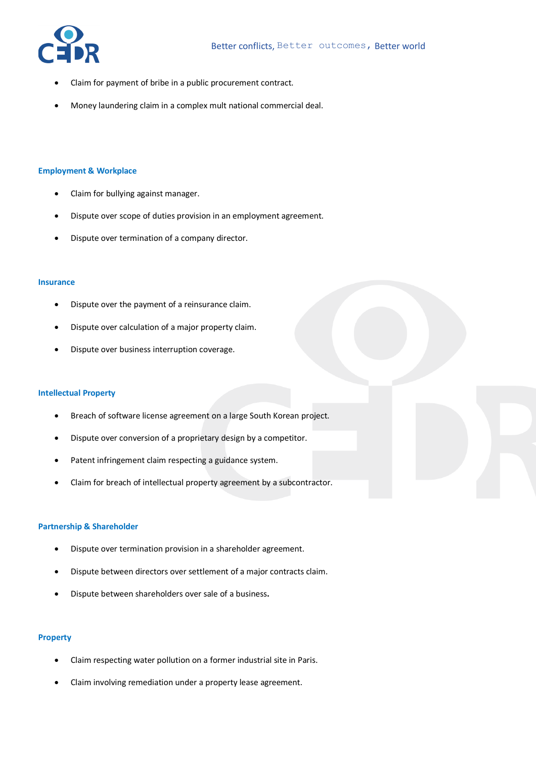

- Claim for payment of bribe in a public procurement contract.
- Money laundering claim in a complex mult national commercial deal.

### **Employment & Workplace**

- Claim for bullying against manager.
- Dispute over scope of duties provision in an employment agreement.
- Dispute over termination of a company director.

#### **Insurance**

- Dispute over the payment of a reinsurance claim.
- Dispute over calculation of a major property claim.
- Dispute over business interruption coverage.

#### **Intellectual Property**

- Breach of software license agreement on a large South Korean project.
- Dispute over conversion of a proprietary design by a competitor.
- Patent infringement claim respecting a guidance system.
- Claim for breach of intellectual property agreement by a subcontractor.

## **Partnership & Shareholder**

- Dispute over termination provision in a shareholder agreement.
- Dispute between directors over settlement of a major contracts claim.
- Dispute between shareholders over sale of a business**.**

## **Property**

- Claim respecting water pollution on a former industrial site in Paris.
- Claim involving remediation under a property lease agreement.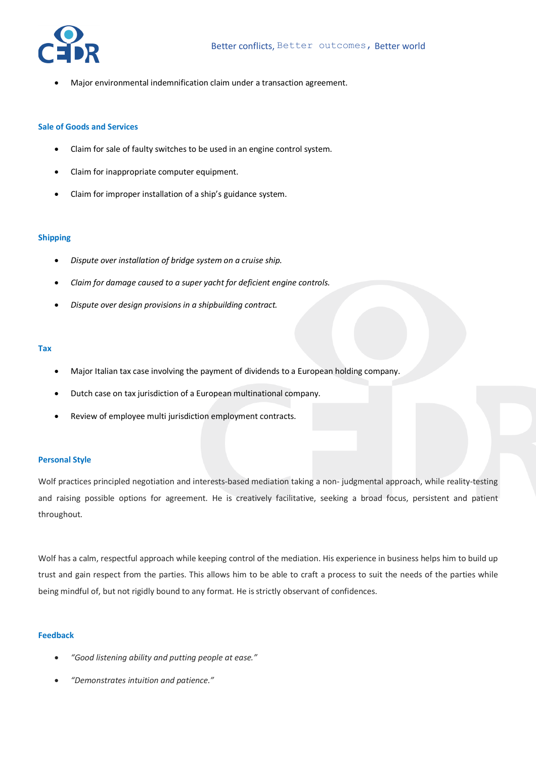

• Major environmental indemnification claim under a transaction agreement.

#### **Sale of Goods and Services**

- Claim for sale of faulty switches to be used in an engine control system.
- Claim for inappropriate computer equipment.
- Claim for improper installation of a ship's guidance system.

#### **Shipping**

- *Dispute over installation of bridge system on a cruise ship.*
- *Claim for damage caused to a super yacht for deficient engine controls.*
- *Dispute over design provisions in a shipbuilding contract.*

#### **Tax**

- Major Italian tax case involving the payment of dividends to a European holding company.
- Dutch case on tax jurisdiction of a European multinational company.
- Review of employee multi jurisdiction employment contracts.

#### **Personal Style**

Wolf practices principled negotiation and interests-based mediation taking a non- judgmental approach, while reality-testing and raising possible options for agreement. He is creatively facilitative, seeking a broad focus, persistent and patient throughout.

Wolf has a calm, respectful approach while keeping control of the mediation. His experience in business helps him to build up trust and gain respect from the parties. This allows him to be able to craft a process to suit the needs of the parties while being mindful of, but not rigidly bound to any format. He is strictly observant of confidences.

## **Feedback**

- *"Good listening ability and putting people at ease."*
- *"Demonstrates intuition and patience."*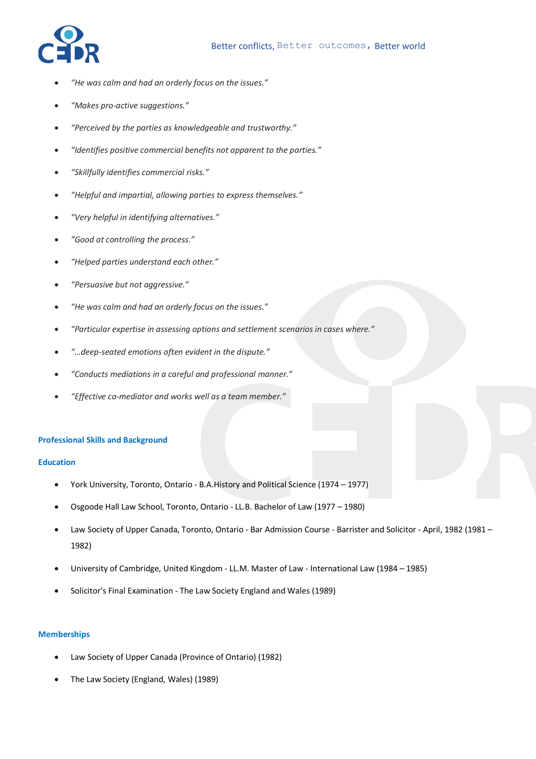

- *"He was calm and had an orderly focus on the issues."*
- *"Makes pro-active suggestions."*
- *"Perceived by the parties as knowledgeable and trustworthy."*
- *"Identifies positive commercial benefits not apparent to the parties."*
- *"Skillfully identifies commercial risks."*
- *"Helpful and impartial, allowing parties to express themselves."*
- *"Very helpful in identifying alternatives."*
- *"Good at controlling the process."*
- *"Helped parties understand each other."*
- *"Persuasive but not aggressive."*
- *"He was calm and had an orderly focus on the issues."*
- *"Particular expertise in assessing options and settlement scenarios in cases where."*
- *"…deep-seated emotions often evident in the dispute."*
- *"Conducts mediations in a careful and professional manner."*
- *"Effective co-mediator and works well as a team member."*

## **Professional Skills and Background**

## **Education**

- York University, Toronto, Ontario B.A.History and Political Science (1974 1977)
- Osgoode Hall Law School, Toronto, Ontario LL.B. Bachelor of Law (1977 1980)
- Law Society of Upper Canada, Toronto, Ontario Bar Admission Course Barrister and Solicitor April, 1982 (1981 1982)
- University of Cambridge, United Kingdom LL.M. Master of Law International Law (1984 1985)
- Solicitor's Final Examination The Law Society England and Wales (1989)

## **Memberships**

- Law Society of Upper Canada (Province of Ontario) (1982)
- The Law Society (England, Wales) (1989)